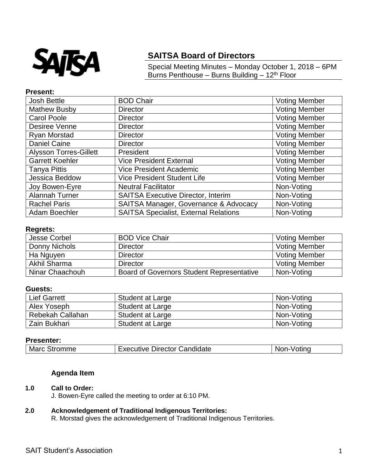

# **SAITSA Board of Directors**

Special Meeting Minutes – Monday October 1, 2018 – 6PM Burns Penthouse – Burns Building – 12th Floor

### **Present:**

| <b>Josh Bettle</b>            | <b>BOD Chair</b>                             | <b>Voting Member</b> |
|-------------------------------|----------------------------------------------|----------------------|
| <b>Mathew Busby</b>           | <b>Director</b>                              | <b>Voting Member</b> |
| <b>Carol Poole</b>            | <b>Director</b>                              | <b>Voting Member</b> |
| Desiree Venne                 | <b>Director</b>                              | <b>Voting Member</b> |
| Ryan Morstad                  | <b>Director</b>                              | <b>Voting Member</b> |
| Daniel Caine                  | <b>Director</b>                              | <b>Voting Member</b> |
| <b>Alysson Torres-Gillett</b> | President                                    | <b>Voting Member</b> |
| <b>Garrett Koehler</b>        | <b>Vice President External</b>               | <b>Voting Member</b> |
| <b>Tanya Pittis</b>           | <b>Vice President Academic</b>               | <b>Voting Member</b> |
| Jessica Beddow                | <b>Vice President Student Life</b>           | <b>Voting Member</b> |
| Joy Bowen-Eyre                | <b>Neutral Facilitator</b>                   | Non-Voting           |
| Alannah Turner                | <b>SAITSA Executive Director, Interim</b>    | Non-Voting           |
| <b>Rachel Paris</b>           | SAITSA Manager, Governance & Advocacy        | Non-Voting           |
| Adam Boechler                 | <b>SAITSA Specialist, External Relations</b> | Non-Voting           |

### **Regrets:**

| Jesse Corbel    | <b>BOD Vice Chair</b>                            | <b>Voting Member</b> |
|-----------------|--------------------------------------------------|----------------------|
| Donny Nichols   | <b>Director</b>                                  | <b>Voting Member</b> |
| Ha Nguyen       | <b>Director</b>                                  | <b>Voting Member</b> |
| Akhil Sharma    | <b>Director</b>                                  | <b>Voting Member</b> |
| Ninar Chaachouh | <b>Board of Governors Student Representative</b> | Non-Voting           |

#### **Guests:**

| <b>Lief Garrett</b> | Student at Large | Non-Voting |
|---------------------|------------------|------------|
| Alex Yoseph         | Student at Large | Non-Voting |
| Rebekah Callahan    | Student at Large | Non-Voting |
| Zain Bukhari        | Student at Large | Non-Voting |

### **Presenter:**

| M:<br>$\sim$ $\sim$ $\sim$ $\sim$<br><b>Candidate</b><br>Director<br>.∍tın <i>r</i><br>'ACLITIVA<br>.<br>וור |  |
|--------------------------------------------------------------------------------------------------------------|--|
|--------------------------------------------------------------------------------------------------------------|--|

## **Agenda Item**

#### **1.0 Call to Order:**

J. Bowen-Eyre called the meeting to order at 6:10 PM.

### **2.0 Acknowledgement of Traditional Indigenous Territories:**

R. Morstad gives the acknowledgement of Traditional Indigenous Territories.